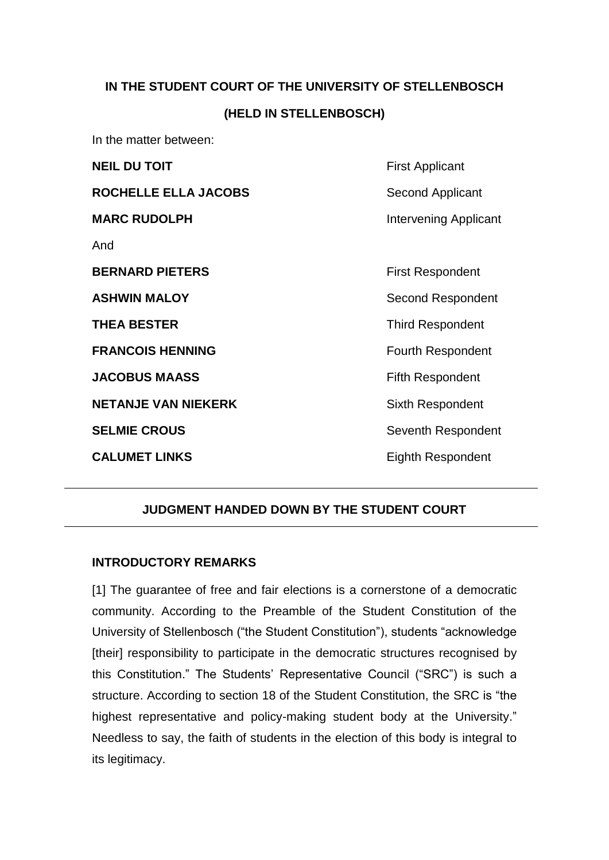# **IN THE STUDENT COURT OF THE UNIVERSITY OF STELLENBOSCH (HELD IN STELLENBOSCH)**

In the matter between:

| <b>NEIL DU TOIT</b>         | <b>First Applicant</b>       |
|-----------------------------|------------------------------|
| <b>ROCHELLE ELLA JACOBS</b> | Second Applicant             |
| <b>MARC RUDOLPH</b>         | <b>Intervening Applicant</b> |
| And                         |                              |
| <b>BERNARD PIETERS</b>      | <b>First Respondent</b>      |
| ASHWIN MALOY                | Second Respondent            |
| <b>THEA BESTER</b>          | <b>Third Respondent</b>      |
| <b>FRANCOIS HENNING</b>     | <b>Fourth Respondent</b>     |
| <b>JACOBUS MAASS</b>        | <b>Fifth Respondent</b>      |
| <b>NETANJE VAN NIEKERK</b>  | Sixth Respondent             |
| <b>SELMIE CROUS</b>         | Seventh Respondent           |
| <b>CALUMET LINKS</b>        | <b>Eighth Respondent</b>     |
|                             |                              |

# **JUDGMENT HANDED DOWN BY THE STUDENT COURT**

# **INTRODUCTORY REMARKS**

[1] The guarantee of free and fair elections is a cornerstone of a democratic community. According to the Preamble of the Student Constitution of the University of Stellenbosch ("the Student Constitution"), students "acknowledge [their] responsibility to participate in the democratic structures recognised by this Constitution." The Students' Representative Council ("SRC") is such a structure. According to section 18 of the Student Constitution, the SRC is "the highest representative and policy-making student body at the University." Needless to say, the faith of students in the election of this body is integral to its legitimacy.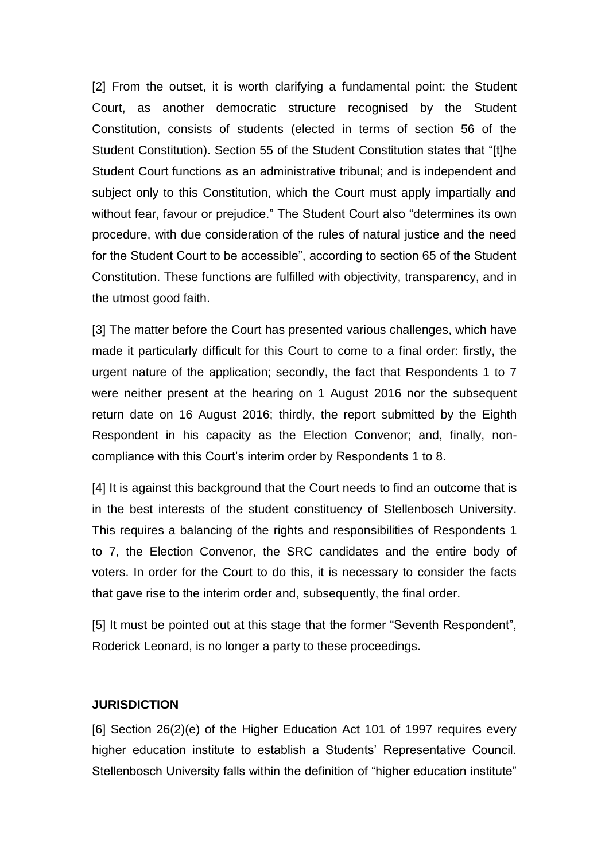[2] From the outset, it is worth clarifying a fundamental point: the Student Court, as another democratic structure recognised by the Student Constitution, consists of students (elected in terms of section 56 of the Student Constitution). Section 55 of the Student Constitution states that "[t]he Student Court functions as an administrative tribunal; and is independent and subject only to this Constitution, which the Court must apply impartially and without fear, favour or prejudice." The Student Court also "determines its own procedure, with due consideration of the rules of natural justice and the need for the Student Court to be accessible", according to section 65 of the Student Constitution. These functions are fulfilled with objectivity, transparency, and in the utmost good faith.

[3] The matter before the Court has presented various challenges, which have made it particularly difficult for this Court to come to a final order: firstly, the urgent nature of the application; secondly, the fact that Respondents 1 to 7 were neither present at the hearing on 1 August 2016 nor the subsequent return date on 16 August 2016; thirdly, the report submitted by the Eighth Respondent in his capacity as the Election Convenor; and, finally, noncompliance with this Court's interim order by Respondents 1 to 8.

[4] It is against this background that the Court needs to find an outcome that is in the best interests of the student constituency of Stellenbosch University. This requires a balancing of the rights and responsibilities of Respondents 1 to 7, the Election Convenor, the SRC candidates and the entire body of voters. In order for the Court to do this, it is necessary to consider the facts that gave rise to the interim order and, subsequently, the final order.

[5] It must be pointed out at this stage that the former "Seventh Respondent", Roderick Leonard, is no longer a party to these proceedings.

#### **JURISDICTION**

[6] Section 26(2)(e) of the Higher Education Act 101 of 1997 requires every higher education institute to establish a Students' Representative Council. Stellenbosch University falls within the definition of "higher education institute"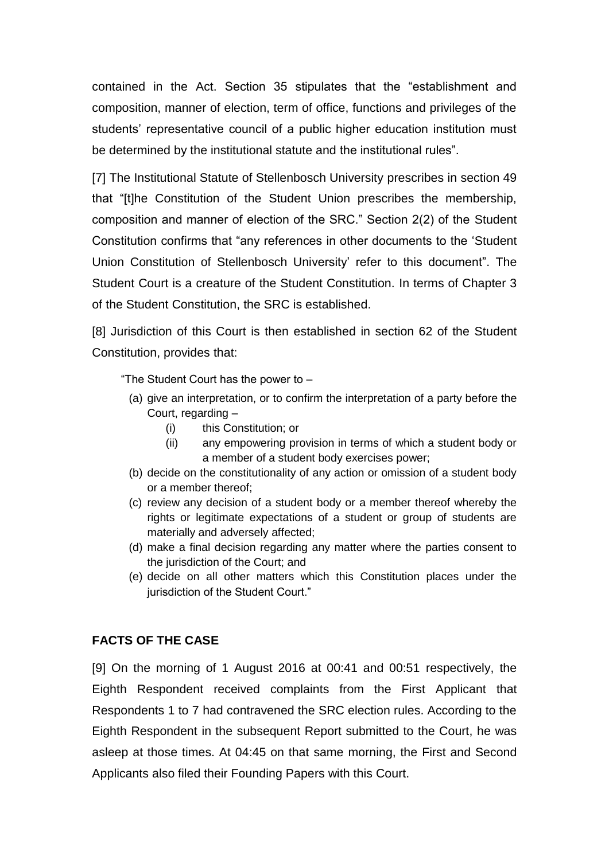contained in the Act. Section 35 stipulates that the "establishment and composition, manner of election, term of office, functions and privileges of the students' representative council of a public higher education institution must be determined by the institutional statute and the institutional rules".

[7] The Institutional Statute of Stellenbosch University prescribes in section 49 that "[t]he Constitution of the Student Union prescribes the membership, composition and manner of election of the SRC." Section 2(2) of the Student Constitution confirms that "any references in other documents to the 'Student Union Constitution of Stellenbosch University' refer to this document". The Student Court is a creature of the Student Constitution. In terms of Chapter 3 of the Student Constitution, the SRC is established.

[8] Jurisdiction of this Court is then established in section 62 of the Student Constitution, provides that:

"The Student Court has the power to –

- (a) give an interpretation, or to confirm the interpretation of a party before the Court, regarding –
	- (i) this Constitution; or
	- (ii) any empowering provision in terms of which a student body or a member of a student body exercises power;
- (b) decide on the constitutionality of any action or omission of a student body or a member thereof;
- (c) review any decision of a student body or a member thereof whereby the rights or legitimate expectations of a student or group of students are materially and adversely affected;
- (d) make a final decision regarding any matter where the parties consent to the jurisdiction of the Court; and
- (e) decide on all other matters which this Constitution places under the jurisdiction of the Student Court."

# **FACTS OF THE CASE**

[9] On the morning of 1 August 2016 at 00:41 and 00:51 respectively, the Eighth Respondent received complaints from the First Applicant that Respondents 1 to 7 had contravened the SRC election rules. According to the Eighth Respondent in the subsequent Report submitted to the Court, he was asleep at those times. At 04:45 on that same morning, the First and Second Applicants also filed their Founding Papers with this Court.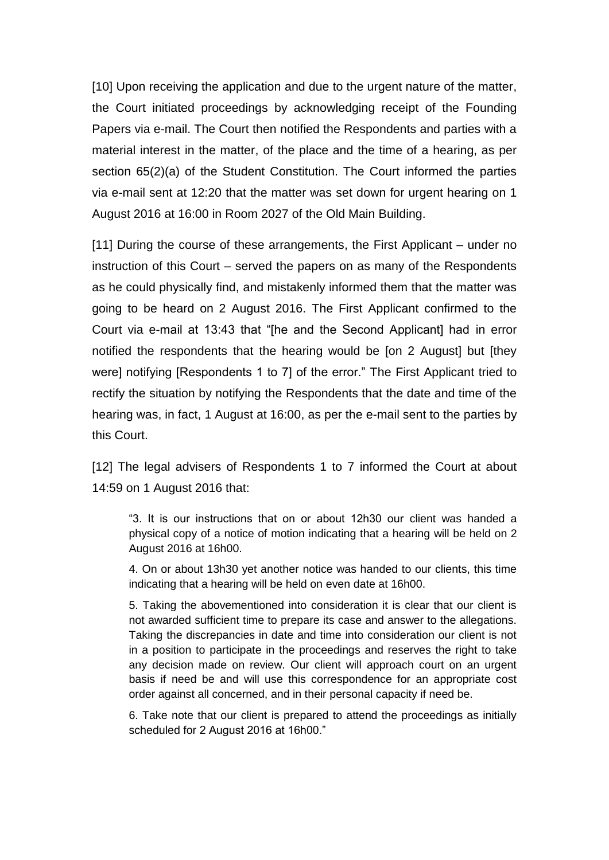[10] Upon receiving the application and due to the urgent nature of the matter, the Court initiated proceedings by acknowledging receipt of the Founding Papers via e-mail. The Court then notified the Respondents and parties with a material interest in the matter, of the place and the time of a hearing, as per section 65(2)(a) of the Student Constitution. The Court informed the parties via e-mail sent at 12:20 that the matter was set down for urgent hearing on 1 August 2016 at 16:00 in Room 2027 of the Old Main Building.

[11] During the course of these arrangements, the First Applicant – under no instruction of this Court – served the papers on as many of the Respondents as he could physically find, and mistakenly informed them that the matter was going to be heard on 2 August 2016. The First Applicant confirmed to the Court via e-mail at 13:43 that "[he and the Second Applicant] had in error notified the respondents that the hearing would be [on 2 August] but [they were] notifying [Respondents 1 to 7] of the error." The First Applicant tried to rectify the situation by notifying the Respondents that the date and time of the hearing was, in fact, 1 August at 16:00, as per the e-mail sent to the parties by this Court.

[12] The legal advisers of Respondents 1 to 7 informed the Court at about 14:59 on 1 August 2016 that:

"3. It is our instructions that on or about 12h30 our client was handed a physical copy of a notice of motion indicating that a hearing will be held on 2 August 2016 at 16h00.

4. On or about 13h30 yet another notice was handed to our clients, this time indicating that a hearing will be held on even date at 16h00.

5. Taking the abovementioned into consideration it is clear that our client is not awarded sufficient time to prepare its case and answer to the allegations. Taking the discrepancies in date and time into consideration our client is not in a position to participate in the proceedings and reserves the right to take any decision made on review. Our client will approach court on an urgent basis if need be and will use this correspondence for an appropriate cost order against all concerned, and in their personal capacity if need be.

6. Take note that our client is prepared to attend the proceedings as initially scheduled for 2 August 2016 at 16h00."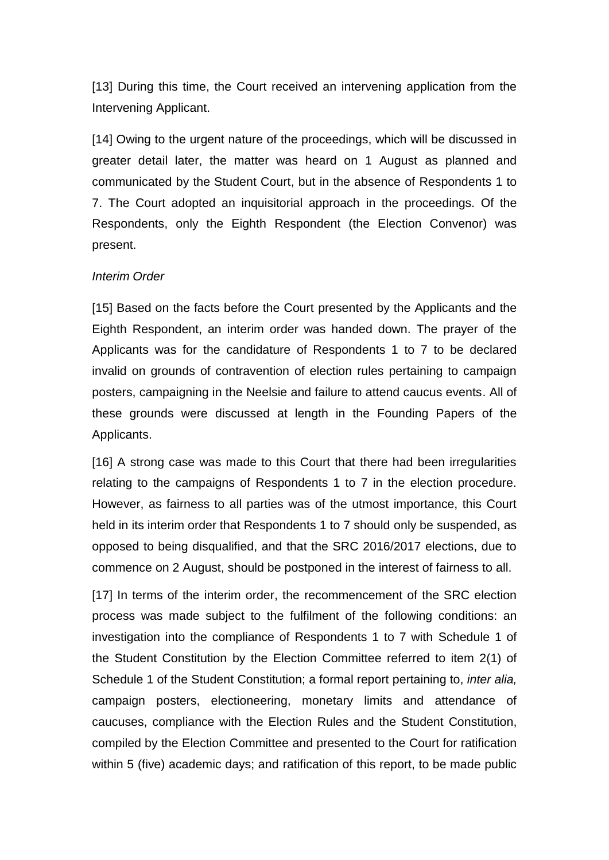[13] During this time, the Court received an intervening application from the Intervening Applicant.

[14] Owing to the urgent nature of the proceedings, which will be discussed in greater detail later, the matter was heard on 1 August as planned and communicated by the Student Court, but in the absence of Respondents 1 to 7. The Court adopted an inquisitorial approach in the proceedings. Of the Respondents, only the Eighth Respondent (the Election Convenor) was present.

#### *Interim Order*

[15] Based on the facts before the Court presented by the Applicants and the Eighth Respondent, an interim order was handed down. The prayer of the Applicants was for the candidature of Respondents 1 to 7 to be declared invalid on grounds of contravention of election rules pertaining to campaign posters, campaigning in the Neelsie and failure to attend caucus events. All of these grounds were discussed at length in the Founding Papers of the Applicants.

[16] A strong case was made to this Court that there had been irregularities relating to the campaigns of Respondents 1 to 7 in the election procedure. However, as fairness to all parties was of the utmost importance, this Court held in its interim order that Respondents 1 to 7 should only be suspended, as opposed to being disqualified, and that the SRC 2016/2017 elections, due to commence on 2 August, should be postponed in the interest of fairness to all.

[17] In terms of the interim order, the recommencement of the SRC election process was made subject to the fulfilment of the following conditions: an investigation into the compliance of Respondents 1 to 7 with Schedule 1 of the Student Constitution by the Election Committee referred to item 2(1) of Schedule 1 of the Student Constitution; a formal report pertaining to, *inter alia,*  campaign posters, electioneering, monetary limits and attendance of caucuses, compliance with the Election Rules and the Student Constitution, compiled by the Election Committee and presented to the Court for ratification within 5 (five) academic days; and ratification of this report, to be made public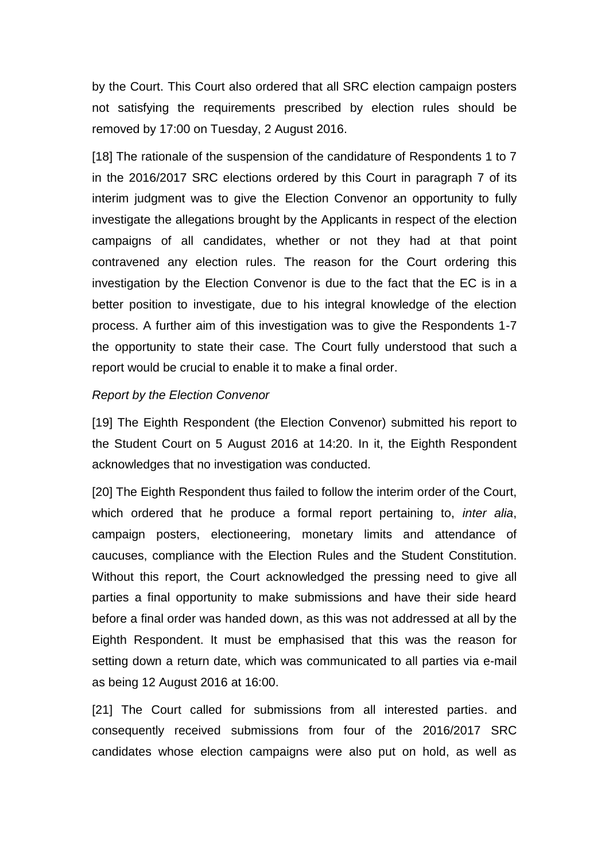by the Court. This Court also ordered that all SRC election campaign posters not satisfying the requirements prescribed by election rules should be removed by 17:00 on Tuesday, 2 August 2016.

[18] The rationale of the suspension of the candidature of Respondents 1 to 7 in the 2016/2017 SRC elections ordered by this Court in paragraph 7 of its interim judgment was to give the Election Convenor an opportunity to fully investigate the allegations brought by the Applicants in respect of the election campaigns of all candidates, whether or not they had at that point contravened any election rules. The reason for the Court ordering this investigation by the Election Convenor is due to the fact that the EC is in a better position to investigate, due to his integral knowledge of the election process. A further aim of this investigation was to give the Respondents 1-7 the opportunity to state their case. The Court fully understood that such a report would be crucial to enable it to make a final order.

#### *Report by the Election Convenor*

[19] The Eighth Respondent (the Election Convenor) submitted his report to the Student Court on 5 August 2016 at 14:20. In it, the Eighth Respondent acknowledges that no investigation was conducted.

[20] The Eighth Respondent thus failed to follow the interim order of the Court, which ordered that he produce a formal report pertaining to, *inter alia*, campaign posters, electioneering, monetary limits and attendance of caucuses, compliance with the Election Rules and the Student Constitution. Without this report, the Court acknowledged the pressing need to give all parties a final opportunity to make submissions and have their side heard before a final order was handed down, as this was not addressed at all by the Eighth Respondent. It must be emphasised that this was the reason for setting down a return date, which was communicated to all parties via e-mail as being 12 August 2016 at 16:00.

[21] The Court called for submissions from all interested parties. and consequently received submissions from four of the 2016/2017 SRC candidates whose election campaigns were also put on hold, as well as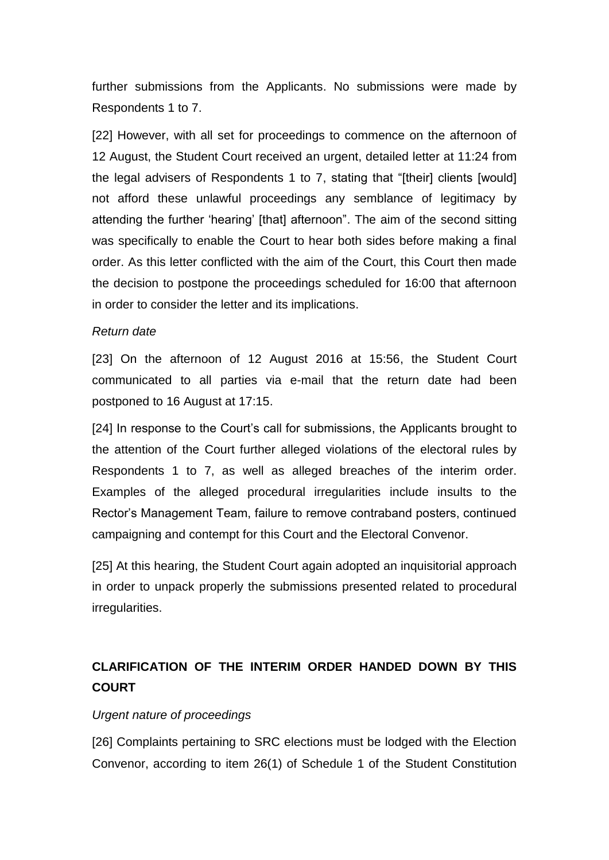further submissions from the Applicants. No submissions were made by Respondents 1 to 7.

[22] However, with all set for proceedings to commence on the afternoon of 12 August, the Student Court received an urgent, detailed letter at 11:24 from the legal advisers of Respondents 1 to 7, stating that "[their] clients [would] not afford these unlawful proceedings any semblance of legitimacy by attending the further 'hearing' [that] afternoon". The aim of the second sitting was specifically to enable the Court to hear both sides before making a final order. As this letter conflicted with the aim of the Court, this Court then made the decision to postpone the proceedings scheduled for 16:00 that afternoon in order to consider the letter and its implications.

#### *Return date*

[23] On the afternoon of 12 August 2016 at 15:56, the Student Court communicated to all parties via e-mail that the return date had been postponed to 16 August at 17:15.

[24] In response to the Court's call for submissions, the Applicants brought to the attention of the Court further alleged violations of the electoral rules by Respondents 1 to 7, as well as alleged breaches of the interim order. Examples of the alleged procedural irregularities include insults to the Rector's Management Team, failure to remove contraband posters, continued campaigning and contempt for this Court and the Electoral Convenor.

[25] At this hearing, the Student Court again adopted an inquisitorial approach in order to unpack properly the submissions presented related to procedural irregularities.

# **CLARIFICATION OF THE INTERIM ORDER HANDED DOWN BY THIS COURT**

# *Urgent nature of proceedings*

[26] Complaints pertaining to SRC elections must be lodged with the Election Convenor, according to item 26(1) of Schedule 1 of the Student Constitution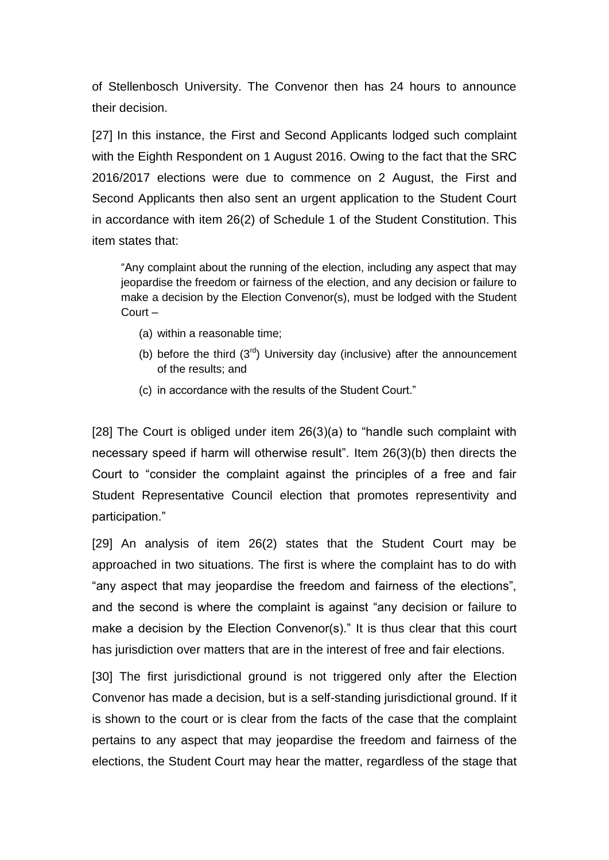of Stellenbosch University. The Convenor then has 24 hours to announce their decision.

[27] In this instance, the First and Second Applicants lodged such complaint with the Eighth Respondent on 1 August 2016. Owing to the fact that the SRC 2016/2017 elections were due to commence on 2 August, the First and Second Applicants then also sent an urgent application to the Student Court in accordance with item 26(2) of Schedule 1 of the Student Constitution. This item states that:

"Any complaint about the running of the election, including any aspect that may jeopardise the freedom or fairness of the election, and any decision or failure to make a decision by the Election Convenor(s), must be lodged with the Student Court –

- (a) within a reasonable time;
- (b) before the third  $(3<sup>rd</sup>)$  University day (inclusive) after the announcement of the results; and
- (c) in accordance with the results of the Student Court."

[28] The Court is obliged under item 26(3)(a) to "handle such complaint with necessary speed if harm will otherwise result". Item 26(3)(b) then directs the Court to "consider the complaint against the principles of a free and fair Student Representative Council election that promotes representivity and participation."

[29] An analysis of item 26(2) states that the Student Court may be approached in two situations. The first is where the complaint has to do with "any aspect that may jeopardise the freedom and fairness of the elections", and the second is where the complaint is against "any decision or failure to make a decision by the Election Convenor(s)." It is thus clear that this court has jurisdiction over matters that are in the interest of free and fair elections.

[30] The first jurisdictional ground is not triggered only after the Election Convenor has made a decision, but is a self-standing jurisdictional ground. If it is shown to the court or is clear from the facts of the case that the complaint pertains to any aspect that may jeopardise the freedom and fairness of the elections, the Student Court may hear the matter, regardless of the stage that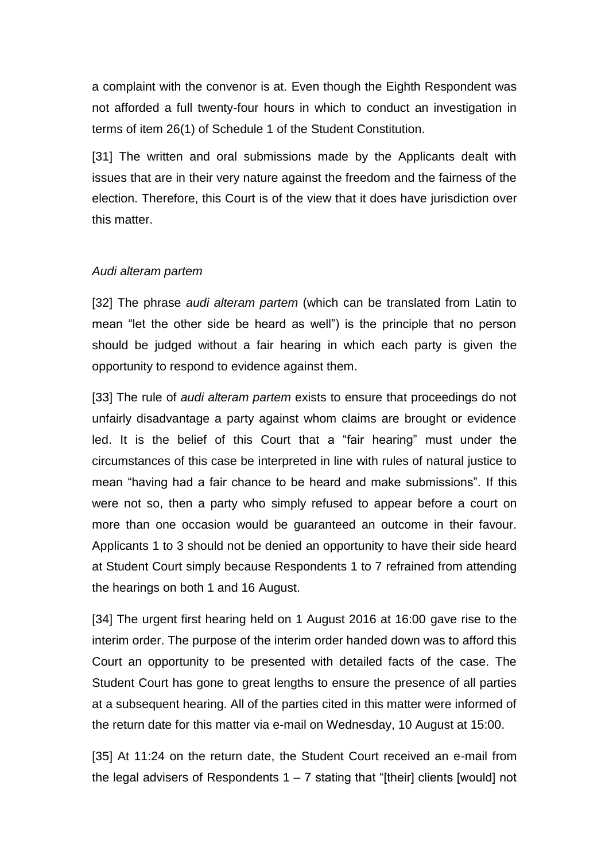a complaint with the convenor is at. Even though the Eighth Respondent was not afforded a full twenty-four hours in which to conduct an investigation in terms of item 26(1) of Schedule 1 of the Student Constitution.

[31] The written and oral submissions made by the Applicants dealt with issues that are in their very nature against the freedom and the fairness of the election. Therefore, this Court is of the view that it does have jurisdiction over this matter.

#### *Audi alteram partem*

[32] The phrase *audi alteram partem* (which can be translated from Latin to mean "let the other side be heard as well") is the principle that no person should be judged without a fair hearing in which each party is given the opportunity to respond to evidence against them.

[33] The rule of *audi alteram partem* exists to ensure that proceedings do not unfairly disadvantage a party against whom claims are brought or evidence led. It is the belief of this Court that a "fair hearing" must under the circumstances of this case be interpreted in line with rules of natural justice to mean "having had a fair chance to be heard and make submissions". If this were not so, then a party who simply refused to appear before a court on more than one occasion would be guaranteed an outcome in their favour. Applicants 1 to 3 should not be denied an opportunity to have their side heard at Student Court simply because Respondents 1 to 7 refrained from attending the hearings on both 1 and 16 August.

[34] The urgent first hearing held on 1 August 2016 at 16:00 gave rise to the interim order. The purpose of the interim order handed down was to afford this Court an opportunity to be presented with detailed facts of the case. The Student Court has gone to great lengths to ensure the presence of all parties at a subsequent hearing. All of the parties cited in this matter were informed of the return date for this matter via e-mail on Wednesday, 10 August at 15:00.

[35] At 11:24 on the return date, the Student Court received an e-mail from the legal advisers of Respondents  $1 - 7$  stating that "[their] clients [would] not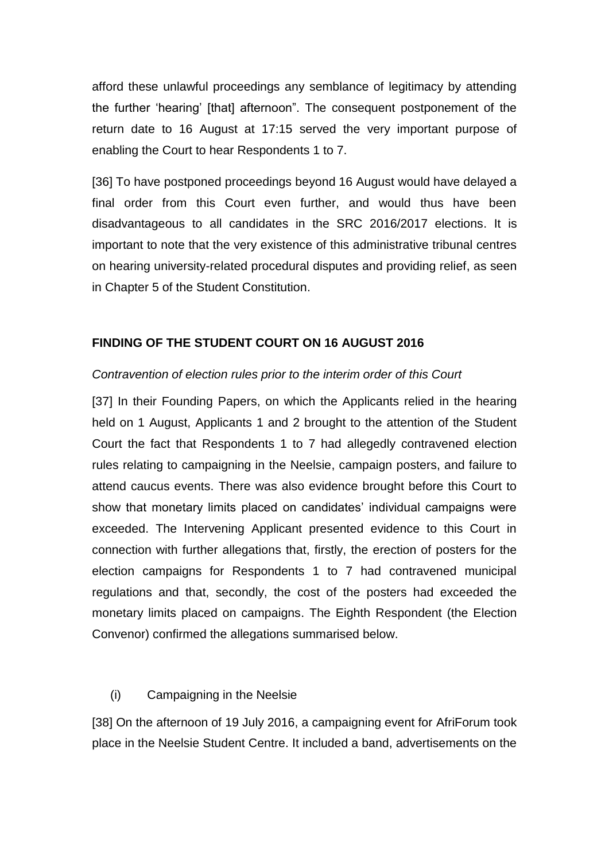afford these unlawful proceedings any semblance of legitimacy by attending the further 'hearing' [that] afternoon". The consequent postponement of the return date to 16 August at 17:15 served the very important purpose of enabling the Court to hear Respondents 1 to 7.

[36] To have postponed proceedings beyond 16 August would have delayed a final order from this Court even further, and would thus have been disadvantageous to all candidates in the SRC 2016/2017 elections. It is important to note that the very existence of this administrative tribunal centres on hearing university-related procedural disputes and providing relief, as seen in Chapter 5 of the Student Constitution.

# **FINDING OF THE STUDENT COURT ON 16 AUGUST 2016**

# *Contravention of election rules prior to the interim order of this Court*

[37] In their Founding Papers, on which the Applicants relied in the hearing held on 1 August, Applicants 1 and 2 brought to the attention of the Student Court the fact that Respondents 1 to 7 had allegedly contravened election rules relating to campaigning in the Neelsie, campaign posters, and failure to attend caucus events. There was also evidence brought before this Court to show that monetary limits placed on candidates' individual campaigns were exceeded. The Intervening Applicant presented evidence to this Court in connection with further allegations that, firstly, the erection of posters for the election campaigns for Respondents 1 to 7 had contravened municipal regulations and that, secondly, the cost of the posters had exceeded the monetary limits placed on campaigns. The Eighth Respondent (the Election Convenor) confirmed the allegations summarised below.

# (i) Campaigning in the Neelsie

[38] On the afternoon of 19 July 2016, a campaigning event for AfriForum took place in the Neelsie Student Centre. It included a band, advertisements on the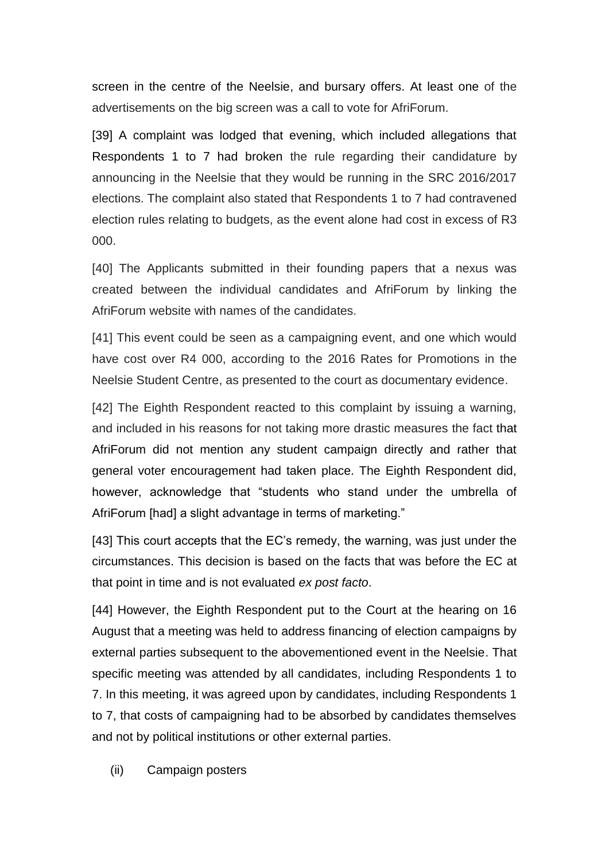screen in the centre of the Neelsie, and bursary offers. At least one of the advertisements on the big screen was a call to vote for AfriForum.

[39] A complaint was lodged that evening, which included allegations that Respondents 1 to 7 had broken the rule regarding their candidature by announcing in the Neelsie that they would be running in the SRC 2016/2017 elections. The complaint also stated that Respondents 1 to 7 had contravened election rules relating to budgets, as the event alone had cost in excess of R3 000.

[40] The Applicants submitted in their founding papers that a nexus was created between the individual candidates and AfriForum by linking the AfriForum website with names of the candidates.

[41] This event could be seen as a campaigning event, and one which would have cost over R4 000, according to the 2016 Rates for Promotions in the Neelsie Student Centre, as presented to the court as documentary evidence.

[42] The Eighth Respondent reacted to this complaint by issuing a warning, and included in his reasons for not taking more drastic measures the fact that AfriForum did not mention any student campaign directly and rather that general voter encouragement had taken place. The Eighth Respondent did, however, acknowledge that "students who stand under the umbrella of AfriForum [had] a slight advantage in terms of marketing."

[43] This court accepts that the EC's remedy, the warning, was just under the circumstances. This decision is based on the facts that was before the EC at that point in time and is not evaluated *ex post facto*.

[44] However, the Eighth Respondent put to the Court at the hearing on 16 August that a meeting was held to address financing of election campaigns by external parties subsequent to the abovementioned event in the Neelsie. That specific meeting was attended by all candidates, including Respondents 1 to 7. In this meeting, it was agreed upon by candidates, including Respondents 1 to 7, that costs of campaigning had to be absorbed by candidates themselves and not by political institutions or other external parties.

(ii) Campaign posters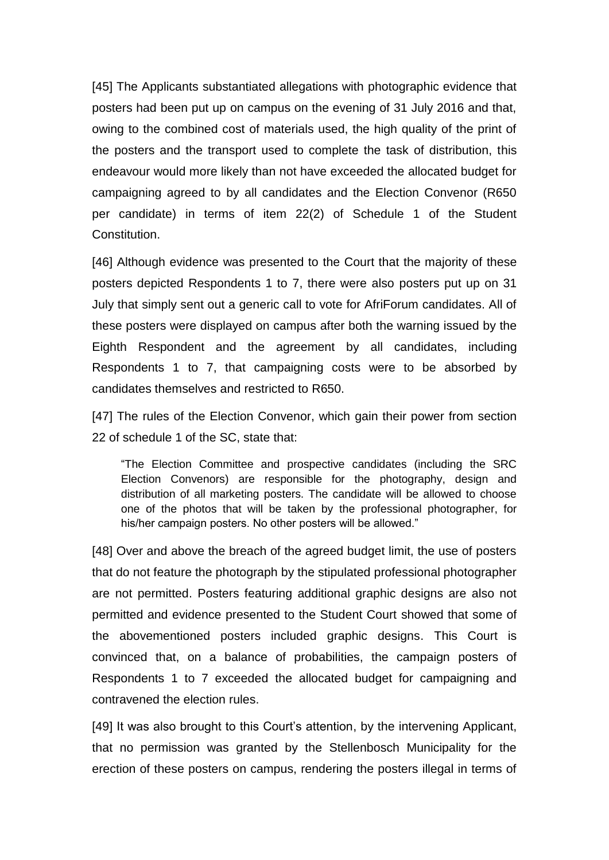[45] The Applicants substantiated allegations with photographic evidence that posters had been put up on campus on the evening of 31 July 2016 and that, owing to the combined cost of materials used, the high quality of the print of the posters and the transport used to complete the task of distribution, this endeavour would more likely than not have exceeded the allocated budget for campaigning agreed to by all candidates and the Election Convenor (R650 per candidate) in terms of item 22(2) of Schedule 1 of the Student Constitution.

[46] Although evidence was presented to the Court that the majority of these posters depicted Respondents 1 to 7, there were also posters put up on 31 July that simply sent out a generic call to vote for AfriForum candidates. All of these posters were displayed on campus after both the warning issued by the Eighth Respondent and the agreement by all candidates, including Respondents 1 to 7, that campaigning costs were to be absorbed by candidates themselves and restricted to R650.

[47] The rules of the Election Convenor, which gain their power from section 22 of schedule 1 of the SC, state that:

"The Election Committee and prospective candidates (including the SRC Election Convenors) are responsible for the photography, design and distribution of all marketing posters. The candidate will be allowed to choose one of the photos that will be taken by the professional photographer, for his/her campaign posters. No other posters will be allowed."

[48] Over and above the breach of the agreed budget limit, the use of posters that do not feature the photograph by the stipulated professional photographer are not permitted. Posters featuring additional graphic designs are also not permitted and evidence presented to the Student Court showed that some of the abovementioned posters included graphic designs. This Court is convinced that, on a balance of probabilities, the campaign posters of Respondents 1 to 7 exceeded the allocated budget for campaigning and contravened the election rules.

[49] It was also brought to this Court's attention, by the intervening Applicant, that no permission was granted by the Stellenbosch Municipality for the erection of these posters on campus, rendering the posters illegal in terms of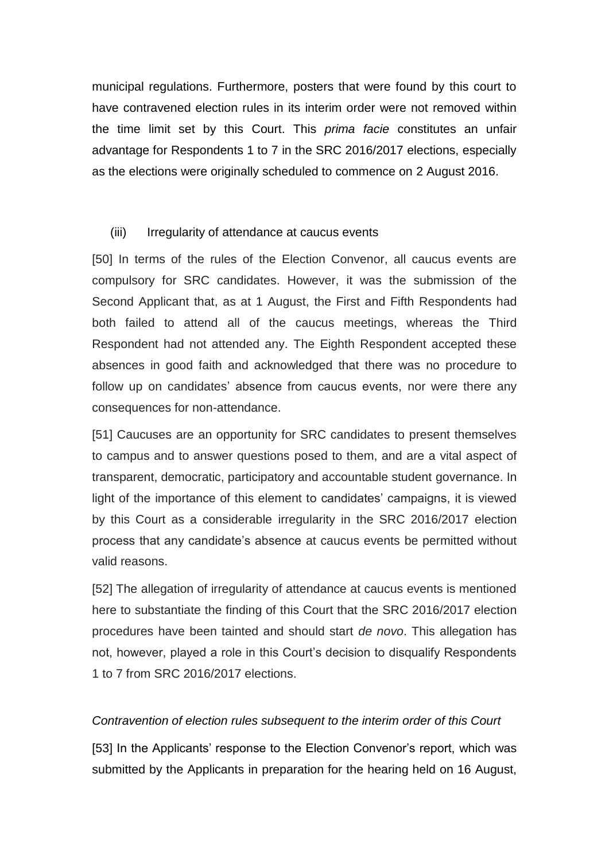municipal regulations. Furthermore, posters that were found by this court to have contravened election rules in its interim order were not removed within the time limit set by this Court. This *prima facie* constitutes an unfair advantage for Respondents 1 to 7 in the SRC 2016/2017 elections, especially as the elections were originally scheduled to commence on 2 August 2016.

# (iii) Irregularity of attendance at caucus events

[50] In terms of the rules of the Election Convenor, all caucus events are compulsory for SRC candidates. However, it was the submission of the Second Applicant that, as at 1 August, the First and Fifth Respondents had both failed to attend all of the caucus meetings, whereas the Third Respondent had not attended any. The Eighth Respondent accepted these absences in good faith and acknowledged that there was no procedure to follow up on candidates' absence from caucus events, nor were there any consequences for non-attendance.

[51] Caucuses are an opportunity for SRC candidates to present themselves to campus and to answer questions posed to them, and are a vital aspect of transparent, democratic, participatory and accountable student governance. In light of the importance of this element to candidates' campaigns, it is viewed by this Court as a considerable irregularity in the SRC 2016/2017 election process that any candidate's absence at caucus events be permitted without valid reasons.

[52] The allegation of irregularity of attendance at caucus events is mentioned here to substantiate the finding of this Court that the SRC 2016/2017 election procedures have been tainted and should start *de novo*. This allegation has not, however, played a role in this Court's decision to disqualify Respondents 1 to 7 from SRC 2016/2017 elections.

# *Contravention of election rules subsequent to the interim order of this Court*

[53] In the Applicants' response to the Election Convenor's report, which was submitted by the Applicants in preparation for the hearing held on 16 August,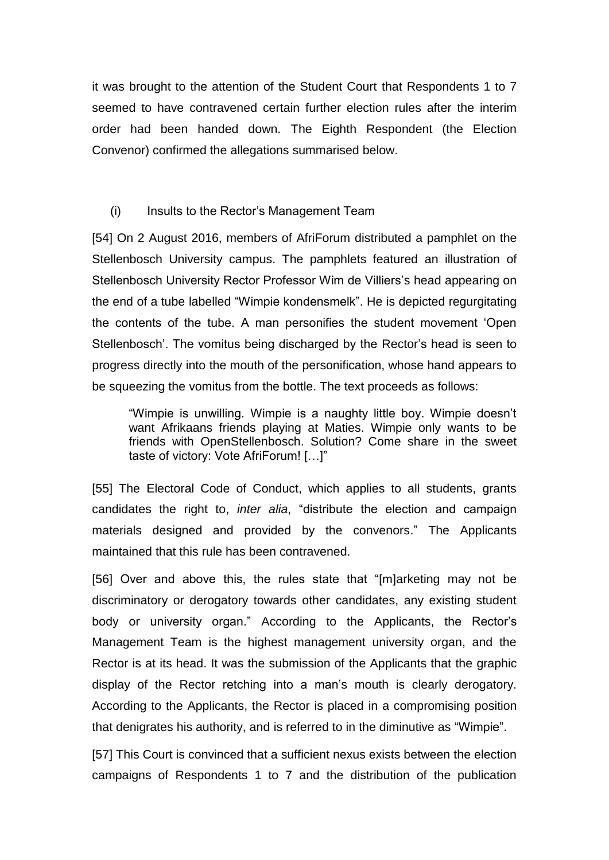it was brought to the attention of the Student Court that Respondents 1 to 7 seemed to have contravened certain further election rules after the interim order had been handed down. The Eighth Respondent (the Election Convenor) confirmed the allegations summarised below.

#### (i) Insults to the Rector's Management Team

[54] On 2 August 2016, members of AfriForum distributed a pamphlet on the Stellenbosch University campus. The pamphlets featured an illustration of Stellenbosch University Rector Professor Wim de Villiers's head appearing on the end of a tube labelled "Wimpie kondensmelk". He is depicted regurgitating the contents of the tube. A man personifies the student movement 'Open Stellenbosch'. The vomitus being discharged by the Rector's head is seen to progress directly into the mouth of the personification, whose hand appears to be squeezing the vomitus from the bottle. The text proceeds as follows:

"Wimpie is unwilling. Wimpie is a naughty little boy. Wimpie doesn't want Afrikaans friends playing at Maties. Wimpie only wants to be friends with OpenStellenbosch. Solution? Come share in the sweet taste of victory: Vote AfriForum! […]"

[55] The Electoral Code of Conduct, which applies to all students, grants candidates the right to, *inter alia*, "distribute the election and campaign materials designed and provided by the convenors." The Applicants maintained that this rule has been contravened.

[56] Over and above this, the rules state that "[m]arketing may not be discriminatory or derogatory towards other candidates, any existing student body or university organ." According to the Applicants, the Rector's Management Team is the highest management university organ, and the Rector is at its head. It was the submission of the Applicants that the graphic display of the Rector retching into a man's mouth is clearly derogatory. According to the Applicants, the Rector is placed in a compromising position that denigrates his authority, and is referred to in the diminutive as "Wimpie".

[57] This Court is convinced that a sufficient nexus exists between the election campaigns of Respondents 1 to 7 and the distribution of the publication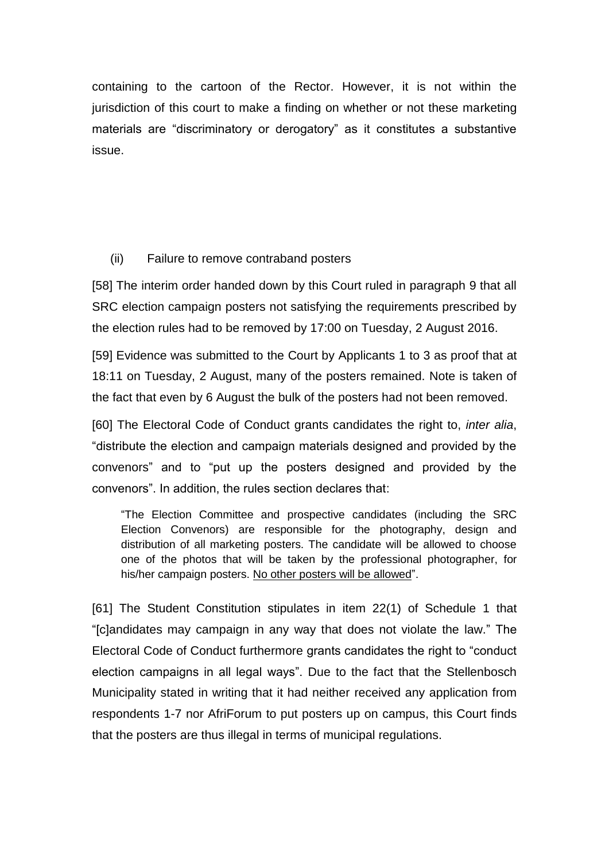containing to the cartoon of the Rector. However, it is not within the jurisdiction of this court to make a finding on whether or not these marketing materials are "discriminatory or derogatory" as it constitutes a substantive issue.

# (ii) Failure to remove contraband posters

[58] The interim order handed down by this Court ruled in paragraph 9 that all SRC election campaign posters not satisfying the requirements prescribed by the election rules had to be removed by 17:00 on Tuesday, 2 August 2016.

[59] Evidence was submitted to the Court by Applicants 1 to 3 as proof that at 18:11 on Tuesday, 2 August, many of the posters remained. Note is taken of the fact that even by 6 August the bulk of the posters had not been removed.

[60] The Electoral Code of Conduct grants candidates the right to, *inter alia*, "distribute the election and campaign materials designed and provided by the convenors" and to "put up the posters designed and provided by the convenors". In addition, the rules section declares that:

"The Election Committee and prospective candidates (including the SRC Election Convenors) are responsible for the photography, design and distribution of all marketing posters. The candidate will be allowed to choose one of the photos that will be taken by the professional photographer, for his/her campaign posters. No other posters will be allowed".

[61] The Student Constitution stipulates in item 22(1) of Schedule 1 that "[c]andidates may campaign in any way that does not violate the law." The Electoral Code of Conduct furthermore grants candidates the right to "conduct election campaigns in all legal ways". Due to the fact that the Stellenbosch Municipality stated in writing that it had neither received any application from respondents 1-7 nor AfriForum to put posters up on campus, this Court finds that the posters are thus illegal in terms of municipal regulations.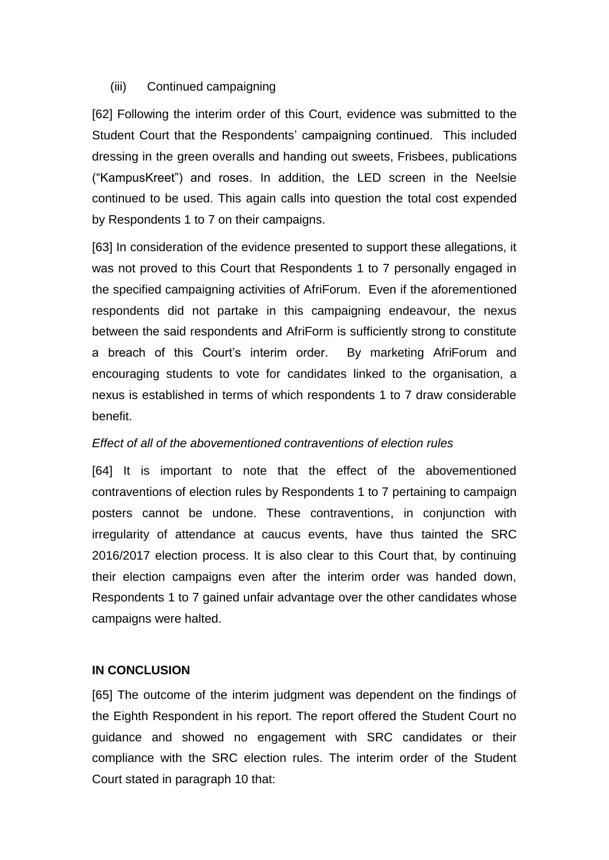#### (iii) Continued campaigning

[62] Following the interim order of this Court, evidence was submitted to the Student Court that the Respondents' campaigning continued. This included dressing in the green overalls and handing out sweets, Frisbees, publications ("KampusKreet") and roses. In addition, the LED screen in the Neelsie continued to be used. This again calls into question the total cost expended by Respondents 1 to 7 on their campaigns.

[63] In consideration of the evidence presented to support these allegations, it was not proved to this Court that Respondents 1 to 7 personally engaged in the specified campaigning activities of AfriForum. Even if the aforementioned respondents did not partake in this campaigning endeavour, the nexus between the said respondents and AfriForm is sufficiently strong to constitute a breach of this Court's interim order. By marketing AfriForum and encouraging students to vote for candidates linked to the organisation, a nexus is established in terms of which respondents 1 to 7 draw considerable benefit.

# *Effect of all of the abovementioned contraventions of election rules*

[64] It is important to note that the effect of the abovementioned contraventions of election rules by Respondents 1 to 7 pertaining to campaign posters cannot be undone. These contraventions, in conjunction with irregularity of attendance at caucus events, have thus tainted the SRC 2016/2017 election process. It is also clear to this Court that, by continuing their election campaigns even after the interim order was handed down, Respondents 1 to 7 gained unfair advantage over the other candidates whose campaigns were halted.

# **IN CONCLUSION**

[65] The outcome of the interim judgment was dependent on the findings of the Eighth Respondent in his report. The report offered the Student Court no guidance and showed no engagement with SRC candidates or their compliance with the SRC election rules. The interim order of the Student Court stated in paragraph 10 that: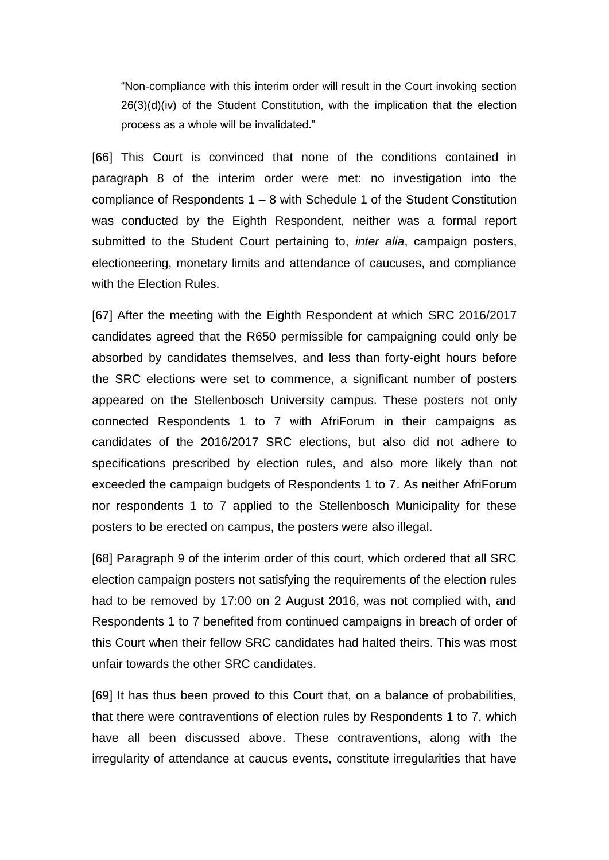"Non-compliance with this interim order will result in the Court invoking section 26(3)(d)(iv) of the Student Constitution, with the implication that the election process as a whole will be invalidated."

[66] This Court is convinced that none of the conditions contained in paragraph 8 of the interim order were met: no investigation into the compliance of Respondents 1 – 8 with Schedule 1 of the Student Constitution was conducted by the Eighth Respondent, neither was a formal report submitted to the Student Court pertaining to, *inter alia*, campaign posters, electioneering, monetary limits and attendance of caucuses, and compliance with the Election Rules.

[67] After the meeting with the Eighth Respondent at which SRC 2016/2017 candidates agreed that the R650 permissible for campaigning could only be absorbed by candidates themselves, and less than forty-eight hours before the SRC elections were set to commence, a significant number of posters appeared on the Stellenbosch University campus. These posters not only connected Respondents 1 to 7 with AfriForum in their campaigns as candidates of the 2016/2017 SRC elections, but also did not adhere to specifications prescribed by election rules, and also more likely than not exceeded the campaign budgets of Respondents 1 to 7. As neither AfriForum nor respondents 1 to 7 applied to the Stellenbosch Municipality for these posters to be erected on campus, the posters were also illegal.

[68] Paragraph 9 of the interim order of this court, which ordered that all SRC election campaign posters not satisfying the requirements of the election rules had to be removed by 17:00 on 2 August 2016, was not complied with, and Respondents 1 to 7 benefited from continued campaigns in breach of order of this Court when their fellow SRC candidates had halted theirs. This was most unfair towards the other SRC candidates.

[69] It has thus been proved to this Court that, on a balance of probabilities, that there were contraventions of election rules by Respondents 1 to 7, which have all been discussed above. These contraventions, along with the irregularity of attendance at caucus events, constitute irregularities that have